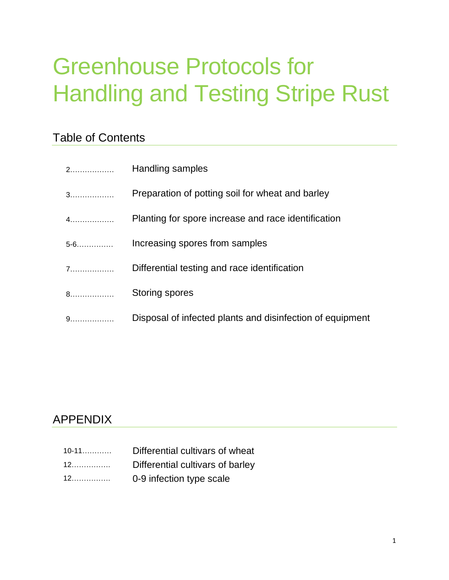# Greenhouse Protocols for Handling and Testing Stripe Rust

# Table of Contents

| 2.      | Handling samples                                          |
|---------|-----------------------------------------------------------|
| 3.      | Preparation of potting soil for wheat and barley          |
| $4$     | Planting for spore increase and race identification       |
| $5 - 6$ | Increasing spores from samples                            |
| 7       | Differential testing and race identification              |
| 8.      | Storing spores                                            |
| 9.      | Disposal of infected plants and disinfection of equipment |

# APPENDIX

| $10 - 11$ | Differential cultivars of wheat  |
|-----------|----------------------------------|
|           | Differential cultivars of barley |
|           | 0-9 infection type scale         |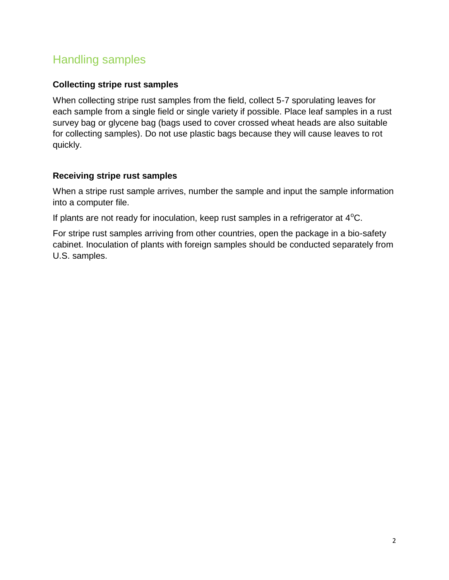### Handling samples

#### **Collecting stripe rust samples**

When collecting stripe rust samples from the field, collect 5-7 sporulating leaves for each sample from a single field or single variety if possible. Place leaf samples in a rust survey bag or glycene bag (bags used to cover crossed wheat heads are also suitable for collecting samples). Do not use plastic bags because they will cause leaves to rot quickly.

#### **Receiving stripe rust samples**

When a stripe rust sample arrives, number the sample and input the sample information into a computer file.

If plants are not ready for inoculation, keep rust samples in a refrigerator at  $4^{\circ}$ C.

For stripe rust samples arriving from other countries, open the package in a bio-safety cabinet. Inoculation of plants with foreign samples should be conducted separately from U.S. samples.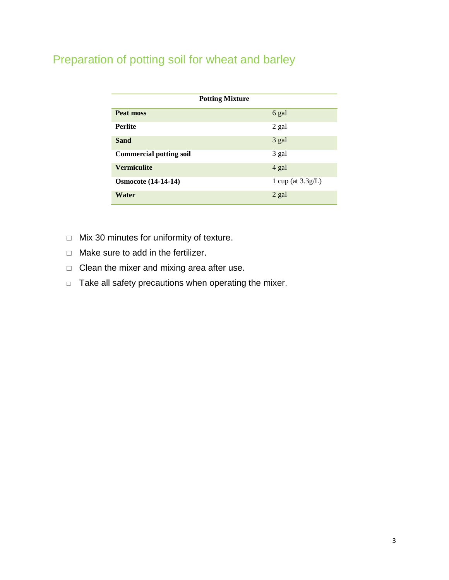# Preparation of potting soil for wheat and barley

| <b>Potting Mixture</b>         |                      |  |
|--------------------------------|----------------------|--|
| Peat moss                      | 6 gal                |  |
| <b>Perlite</b>                 | 2 gal                |  |
| <b>Sand</b>                    | 3 gal                |  |
| <b>Commercial potting soil</b> | 3 gal                |  |
| <b>Vermiculite</b>             | 4 gal                |  |
| <b>Osmocote</b> (14-14-14)     | 1 cup (at $3.3g/L$ ) |  |
| Water                          | 2 gal                |  |

- $\Box$  Mix 30 minutes for uniformity of texture.
- $\Box$  Make sure to add in the fertilizer.
- $\Box$  Clean the mixer and mixing area after use.
- $\Box$  Take all safety precautions when operating the mixer.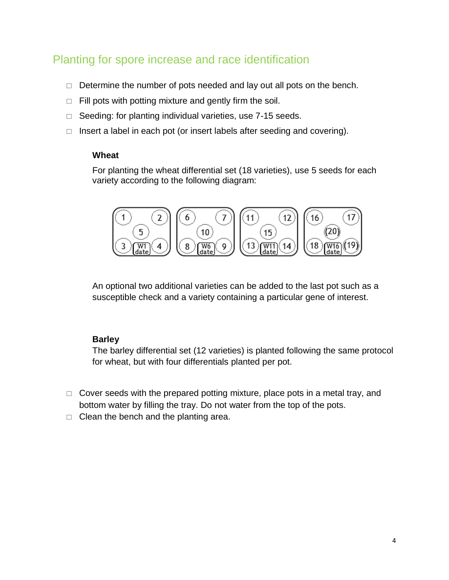### Planting for spore increase and race identification

- $\Box$  Determine the number of pots needed and lay out all pots on the bench.
- $\Box$  Fill pots with potting mixture and gently firm the soil.
- $\Box$  Seeding: for planting individual varieties, use 7-15 seeds.
- $\Box$  Insert a label in each pot (or insert labels after seeding and covering).

#### **Wheat**

For planting the wheat differential set (18 varieties), use 5 seeds for each variety according to the following diagram:



An optional two additional varieties can be added to the last pot such as a susceptible check and a variety containing a particular gene of interest.

#### **Barley**

The barley differential set (12 varieties) is planted following the same protocol for wheat, but with four differentials planted per pot.

- $\Box$  Cover seeds with the prepared potting mixture, place pots in a metal tray, and bottom water by filling the tray. Do not water from the top of the pots.
- $\Box$  Clean the bench and the planting area.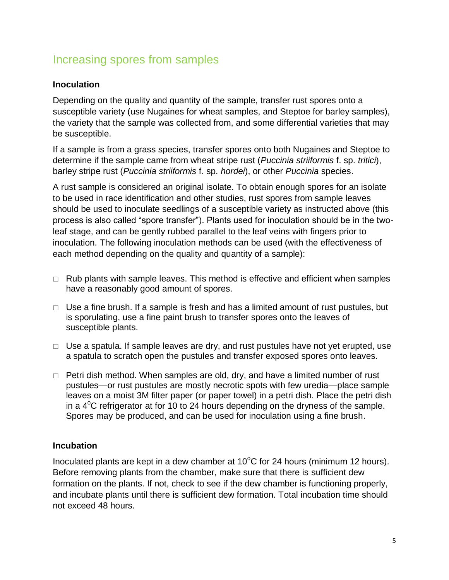### Increasing spores from samples

#### **Inoculation**

Depending on the quality and quantity of the sample, transfer rust spores onto a susceptible variety (use Nugaines for wheat samples, and Steptoe for barley samples), the variety that the sample was collected from, and some differential varieties that may be susceptible.

If a sample is from a grass species, transfer spores onto both Nugaines and Steptoe to determine if the sample came from wheat stripe rust (*Puccinia striiformis* f. sp. *tritici*), barley stripe rust (*Puccinia striiformis* f. sp. *hordei*), or other *Puccinia* species.

A rust sample is considered an original isolate. To obtain enough spores for an isolate to be used in race identification and other studies, rust spores from sample leaves should be used to inoculate seedlings of a susceptible variety as instructed above (this process is also called "spore transfer"). Plants used for inoculation should be in the twoleaf stage, and can be gently rubbed parallel to the leaf veins with fingers prior to inoculation. The following inoculation methods can be used (with the effectiveness of each method depending on the quality and quantity of a sample):

- $\Box$  Rub plants with sample leaves. This method is effective and efficient when samples have a reasonably good amount of spores.
- $\Box$  Use a fine brush. If a sample is fresh and has a limited amount of rust pustules, but is sporulating, use a fine paint brush to transfer spores onto the leaves of susceptible plants.
- $\Box$  Use a spatula. If sample leaves are dry, and rust pustules have not yet erupted, use a spatula to scratch open the pustules and transfer exposed spores onto leaves.
- $\Box$  Petri dish method. When samples are old, dry, and have a limited number of rust pustules—or rust pustules are mostly necrotic spots with few uredia—place sample leaves on a moist 3M filter paper (or paper towel) in a petri dish. Place the petri dish in a  $4^{\circ}$ C refrigerator at for 10 to 24 hours depending on the dryness of the sample. Spores may be produced, and can be used for inoculation using a fine brush.

#### **Incubation**

Inoculated plants are kept in a dew chamber at  $10^{\circ}$ C for 24 hours (minimum 12 hours). Before removing plants from the chamber, make sure that there is sufficient dew formation on the plants. If not, check to see if the dew chamber is functioning properly, and incubate plants until there is sufficient dew formation. Total incubation time should not exceed 48 hours.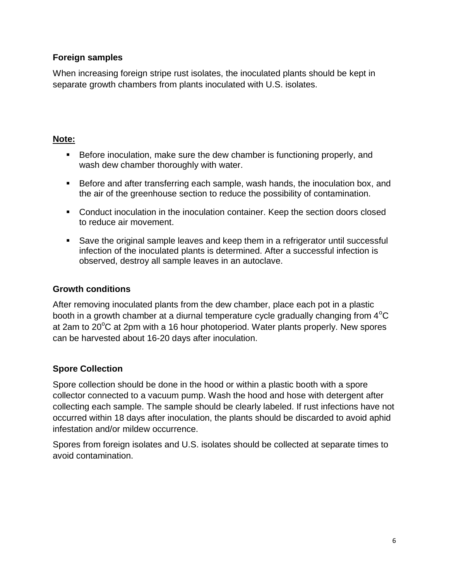#### **Foreign samples**

When increasing foreign stripe rust isolates, the inoculated plants should be kept in separate growth chambers from plants inoculated with U.S. isolates.

#### **Note:**

- Before inoculation, make sure the dew chamber is functioning properly, and wash dew chamber thoroughly with water.
- Before and after transferring each sample, wash hands, the inoculation box, and the air of the greenhouse section to reduce the possibility of contamination.
- Conduct inoculation in the inoculation container. Keep the section doors closed to reduce air movement.
- Save the original sample leaves and keep them in a refrigerator until successful infection of the inoculated plants is determined. After a successful infection is observed, destroy all sample leaves in an autoclave.

#### **Growth conditions**

After removing inoculated plants from the dew chamber, place each pot in a plastic booth in a growth chamber at a diurnal temperature cycle gradually changing from  $4^{\circ}$ C at 2am to  $20^{\circ}$ C at 2pm with a 16 hour photoperiod. Water plants properly. New spores can be harvested about 16-20 days after inoculation.

#### **Spore Collection**

Spore collection should be done in the hood or within a plastic booth with a spore collector connected to a vacuum pump. Wash the hood and hose with detergent after collecting each sample. The sample should be clearly labeled. If rust infections have not occurred within 18 days after inoculation, the plants should be discarded to avoid aphid infestation and/or mildew occurrence.

Spores from foreign isolates and U.S. isolates should be collected at separate times to avoid contamination.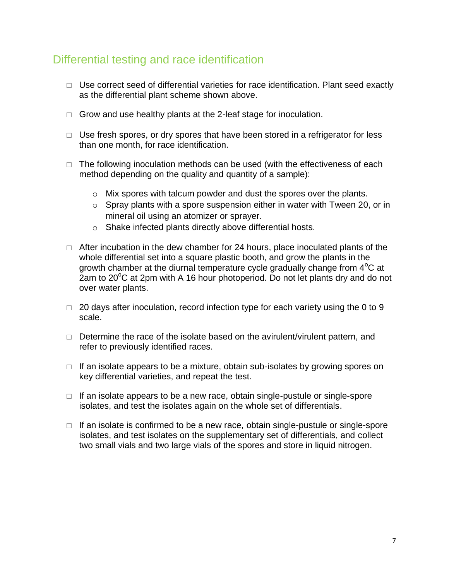### Differential testing and race identification

- $\Box$  Use correct seed of differential varieties for race identification. Plant seed exactly as the differential plant scheme shown above.
- $\Box$  Grow and use healthy plants at the 2-leaf stage for inoculation.
- $\Box$  Use fresh spores, or dry spores that have been stored in a refrigerator for less than one month, for race identification.
- $\Box$  The following inoculation methods can be used (with the effectiveness of each method depending on the quality and quantity of a sample):
	- o Mix spores with talcum powder and dust the spores over the plants.
	- o Spray plants with a spore suspension either in water with Tween 20, or in mineral oil using an atomizer or sprayer.
	- o Shake infected plants directly above differential hosts.
- $\Box$  After incubation in the dew chamber for 24 hours, place inoculated plants of the whole differential set into a square plastic booth, and grow the plants in the growth chamber at the diurnal temperature cycle gradually change from  $4^{\circ}$ C at 2am to 20 $\mathrm{^{\circ}C}$  at 2pm with A 16 hour photoperiod. Do not let plants dry and do not over water plants.
- $\Box$  20 days after inoculation, record infection type for each variety using the 0 to 9 scale.
- $\Box$  Determine the race of the isolate based on the avirulent/virulent pattern, and refer to previously identified races.
- $\Box$  If an isolate appears to be a mixture, obtain sub-isolates by growing spores on key differential varieties, and repeat the test.
- $\Box$  If an isolate appears to be a new race, obtain single-pustule or single-spore isolates, and test the isolates again on the whole set of differentials.
- $\Box$  If an isolate is confirmed to be a new race, obtain single-pustule or single-spore isolates, and test isolates on the supplementary set of differentials, and collect two small vials and two large vials of the spores and store in liquid nitrogen.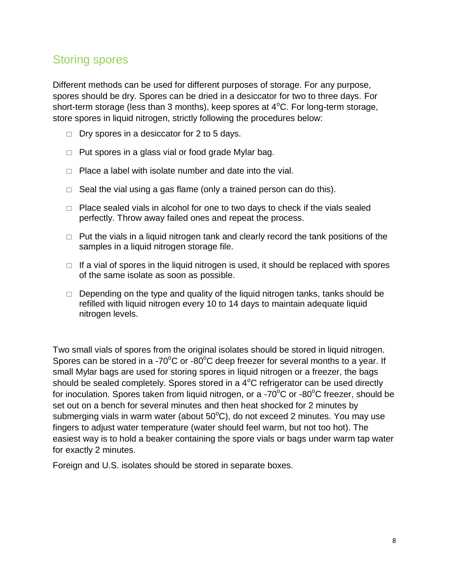### Storing spores

Different methods can be used for different purposes of storage. For any purpose, spores should be dry. Spores can be dried in a desiccator for two to three days. For short-term storage (less than 3 months), keep spores at  $4^{\circ}$ C. For long-term storage, store spores in liquid nitrogen, strictly following the procedures below:

- $\Box$  Dry spores in a desiccator for 2 to 5 days.
- $\Box$  Put spores in a glass vial or food grade Mylar bag.
- $\Box$  Place a label with isolate number and date into the vial.
- $\Box$  Seal the vial using a gas flame (only a trained person can do this).
- $\Box$  Place sealed vials in alcohol for one to two days to check if the vials sealed perfectly. Throw away failed ones and repeat the process.
- $\Box$  Put the vials in a liquid nitrogen tank and clearly record the tank positions of the samples in a liquid nitrogen storage file.
- $\Box$  If a vial of spores in the liquid nitrogen is used, it should be replaced with spores of the same isolate as soon as possible.
- $\Box$  Depending on the type and quality of the liquid nitrogen tanks, tanks should be refilled with liquid nitrogen every 10 to 14 days to maintain adequate liquid nitrogen levels.

Two small vials of spores from the original isolates should be stored in liquid nitrogen. Spores can be stored in a -70 $\mathrm{^{\circ}C}$  or -80 $\mathrm{^{\circ}C}$  deep freezer for several months to a year. If small Mylar bags are used for storing spores in liquid nitrogen or a freezer, the bags should be sealed completely. Spores stored in a  $4^{\circ}$ C refrigerator can be used directly for inoculation. Spores taken from liquid nitrogen, or a -70 $\mathrm{^{\circ}C}$  or -80 $\mathrm{^{\circ}C}$  freezer, should be set out on a bench for several minutes and then heat shocked for 2 minutes by submerging vials in warm water (about  $50^{\circ}$ C), do not exceed 2 minutes. You may use fingers to adjust water temperature (water should feel warm, but not too hot). The easiest way is to hold a beaker containing the spore vials or bags under warm tap water for exactly 2 minutes.

Foreign and U.S. isolates should be stored in separate boxes.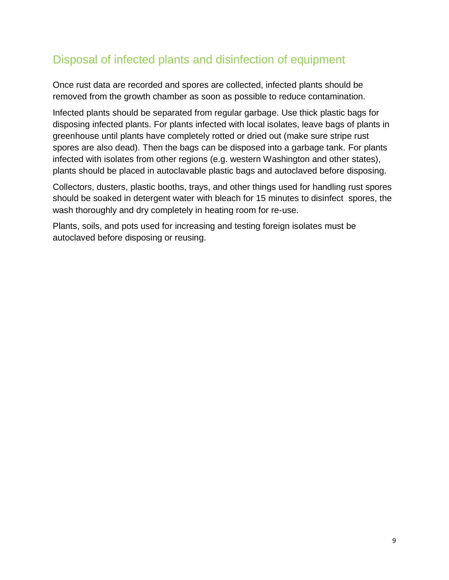# Disposal of infected plants and disinfection of equipment

Once rust data are recorded and spores are collected, infected plants should be removed from the growth chamber as soon as possible to reduce contamination.

Infected plants should be separated from regular garbage. Use thick plastic bags for disposing infected plants. For plants infected with local isolates, leave bags of plants in greenhouse until plants have completely rotted or dried out (make sure stripe rust spores are also dead). Then the bags can be disposed into a garbage tank. For plants infected with isolates from other regions (e.g. western Washington and other states), plants should be placed in autoclavable plastic bags and autoclaved before disposing.

Collectors, dusters, plastic booths, trays, and other things used for handling rust spores should be soaked in detergent water with bleach for 15 minutes to disinfect spores, the wash thoroughly and dry completely in heating room for re-use.

Plants, soils, and pots used for increasing and testing foreign isolates must be autoclaved before disposing or reusing.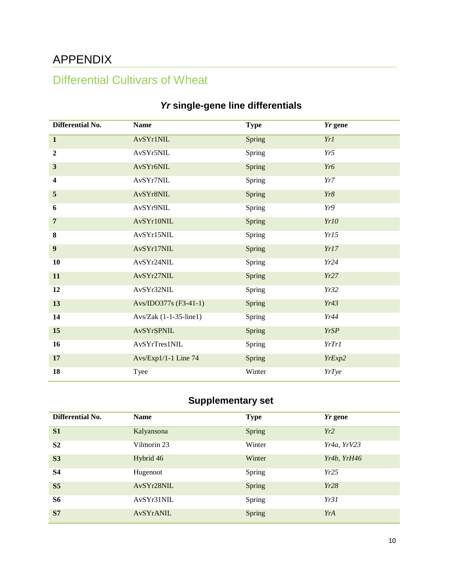# APPENDIX

# Differential Cultivars of Wheat

| Differential No. | <b>Name</b>              | <b>Type</b> | Yr gene      |
|------------------|--------------------------|-------------|--------------|
| $\mathbf{1}$     | AvSYr1NIL                | Spring      | Yr1          |
| $\boldsymbol{2}$ | AvSYr5NIL                | Spring      | Yr5          |
| $\mathbf{3}$     | AvSYr6NIL                | Spring      | Yr6          |
| 4                | AvSYr7NIL                | Spring      | Yr7          |
| $\overline{5}$   | AvSYr8NIL                | Spring      | Yr8          |
| 6                | AvSYr9NIL                | Spring      | Yr9          |
| $\overline{7}$   | AvSYr10NIL               | Spring      | Yr10         |
| 8                | AvSYr15NIL               | Spring      | Yr15         |
| $\boldsymbol{9}$ | AvSYr17NIL               | Spring      | Yr17         |
| 10               | AvSYr24NIL               | Spring      | Yr24         |
| 11               | AvSYr27NIL               | Spring      | Yr27         |
| 12               | AvSYr32NIL               | Spring      | Yr32         |
| 13               | Avs/IDO377s (F3-41-1)    | Spring      | Yr43         |
| 14               | $Avs/Zak$ (1-1-35-line1) | Spring      | Yr44         |
| 15               | AvSYrSPNIL               | Spring      | <b>YrSP</b>  |
| 16               | AvSYrTres1NIL            | Spring      | YrTr1        |
| 17               | Avs/Exp1/1-1 Line 74     | Spring      | YrExp2       |
| 18               | Tyee                     | Winter      | <b>YrTye</b> |

### *Yr* **single-gene line differentials**

### **Supplementary set**

| Differential No. | <b>Name</b> | <b>Type</b> | <i>Yr</i> gene |
|------------------|-------------|-------------|----------------|
| S1               | Kalyansona  | Spring      | Yr2            |
| S <sub>2</sub>   | Vilmorin 23 | Winter      | Yr4a, YrV23    |
| S <sub>3</sub>   | Hybrid 46   | Winter      | Yr4b, YrH46    |
| <b>S4</b>        | Hugenoot    | Spring      | Yr25           |
| S <sub>5</sub>   | AvSYr28NIL  | Spring      | Yr28           |
| <b>S6</b>        | AvSYr31NIL  | Spring      | Yr31           |
| <b>S7</b>        | AvSYrANIL   | Spring      | YrA            |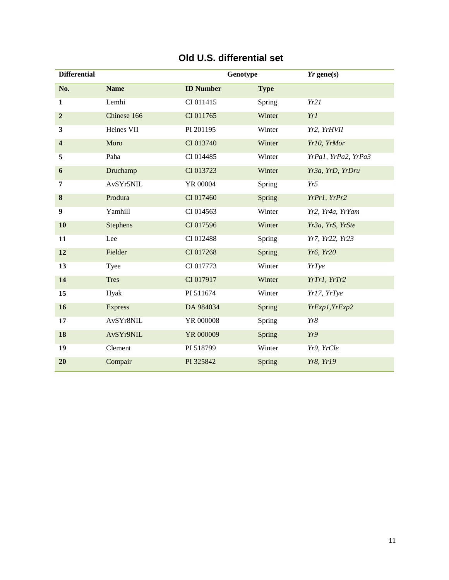| <b>Differential</b>     |                 | Genotype         |             | $Yr$ gene(s)        |
|-------------------------|-----------------|------------------|-------------|---------------------|
| No.                     | <b>Name</b>     | <b>ID Number</b> | <b>Type</b> |                     |
| 1                       | Lemhi           | CI 011415        | Spring      | Yr21                |
| $\overline{2}$          | Chinese 166     | CI 011765        | Winter      | Yr1                 |
| $\overline{\mathbf{3}}$ | Heines VII      | PI 201195        | Winter      | Yr2, YrHVII         |
| $\overline{\mathbf{4}}$ | Moro            | CI 013740        | Winter      | Yr10, YrMor         |
| 5                       | Paha            | CI 014485        | Winter      | YrPa1, YrPa2, YrPa3 |
| 6                       | Druchamp        | CI 013723        | Winter      | Yr3a, YrD, YrDru    |
| 7                       | AvSYr5NIL       | YR 00004         | Spring      | Yr5                 |
| $\bf{8}$                | Produra         | CI 017460        | Spring      | YrPr1, YrPr2        |
| 9                       | Yamhill         | CI 014563        | Winter      | Yr2, Yr4a, YrYam    |
| 10                      | <b>Stephens</b> | CI 017596        | Winter      | Yr3a, YrS, YrSte    |
| 11                      | Lee             | CI 012488        | Spring      | Yr7, Yr22, Yr23     |
| 12                      | Fielder         | CI 017268        | Spring      | Yr6, Yr20           |
| 13                      | Tyee            | CI 017773        | Winter      | YrTye               |
| 14                      | <b>Tres</b>     | CI 017917        | Winter      | YrTr1, YrTr2        |
| 15                      | Hyak            | PI 511674        | Winter      | Yr17, YrTye         |
| 16                      | <b>Express</b>  | DA 984034        | Spring      | YrExp1, YrExp2      |
| 17                      | AvSYr8NIL       | YR 000008        | Spring      | Yr8                 |
| 18                      | AvSYr9NIL       | YR 000009        | Spring      | Yr9                 |
| 19                      | Clement         | PI 518799        | Winter      | Yr9, YrCle          |
| 20                      | Compair         | PI 325842        | Spring      | Yr8, Yr19           |

#### **Old U.S. differential set**